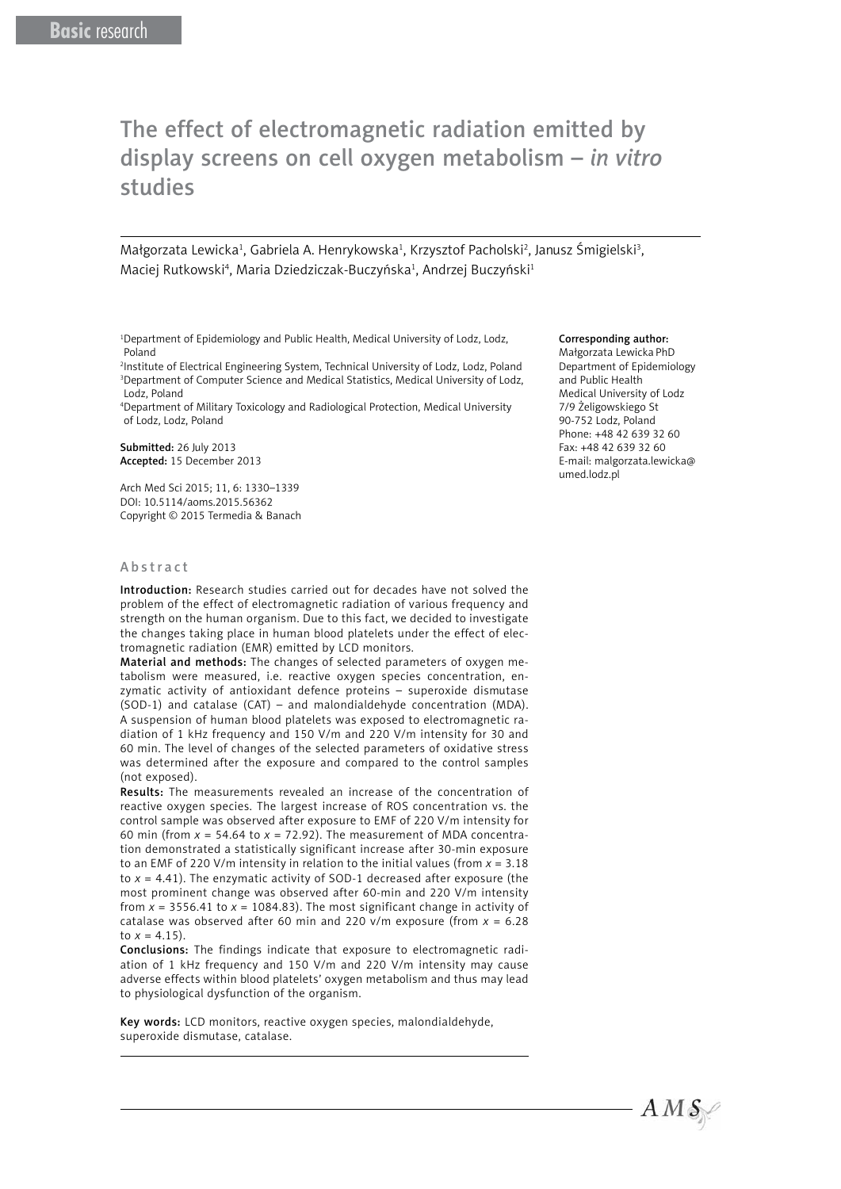# The effect of electromagnetic radiation emitted by display screens on cell oxygen metabolism – *in vitro* studies

Małgorzata Lewicka<sup>1</sup>, Gabriela A. Henrykowska<sup>1</sup>, Krzysztof Pacholski<sup>2</sup>, Janusz Śmigielski<sup>3</sup>, Maciej Rutkowski<sup>4</sup>, Maria Dziedziczak-Buczyńska<sup>1</sup>, Andrzej Buczyński<sup>1</sup>

<sup>1</sup>Department of Epidemiology and Public Health, Medical University of Lodz, Lodz, Poland

2 Institute of Electrical Engineering System, Technical University of Lodz, Lodz, Poland 3 Department of Computer Science and Medical Statistics, Medical University of Lodz, Lodz, Poland

4 Department of Military Toxicology and Radiological Protection, Medical University of Lodz, Lodz, Poland

Submitted: 26 July 2013 Accepted: 15 December 2013

Arch Med Sci 2015; 11, 6: 1330–1339 DOI: 10.5114/aoms.2015.56362 Copyright © 2015 Termedia & Banach

# Abstract

Introduction: Research studies carried out for decades have not solved the problem of the effect of electromagnetic radiation of various frequency and strength on the human organism. Due to this fact, we decided to investigate the changes taking place in human blood platelets under the effect of electromagnetic radiation (EMR) emitted by LCD monitors.

Material and methods: The changes of selected parameters of oxygen metabolism were measured, i.e. reactive oxygen species concentration, enzymatic activity of antioxidant defence proteins – superoxide dismutase (SOD-1) and catalase (CAT) – and malondialdehyde concentration (MDA). A suspension of human blood platelets was exposed to electromagnetic radiation of 1 kHz frequency and 150 V/m and 220 V/m intensity for 30 and 60 min. The level of changes of the selected parameters of oxidative stress was determined after the exposure and compared to the control samples (not exposed).

Results: The measurements revealed an increase of the concentration of reactive oxygen species. The largest increase of ROS concentration vs. the control sample was observed after exposure to EMF of 220 V/m intensity for 60 min (from  $x = 54.64$  to  $x = 72.92$ ). The measurement of MDA concentration demonstrated a statistically significant increase after 30-min exposure to an EMF of 220 V/m intensity in relation to the initial values (from *x* = 3.18 to *x* = 4.41). The enzymatic activity of SOD-1 decreased after exposure (the most prominent change was observed after 60-min and 220 V/m intensity from  $x = 3556.41$  to  $x = 1084.83$ ). The most significant change in activity of catalase was observed after 60 min and 220 v/m exposure (from *x* = 6.28 to  $x = 4.15$ .

Conclusions: The findings indicate that exposure to electromagnetic radiation of 1 kHz frequency and 150 V/m and 220 V/m intensity may cause adverse effects within blood platelets' oxygen metabolism and thus may lead to physiological dysfunction of the organism.

Key words: LCD monitors, reactive oxygen species, malondialdehyde, superoxide dismutase, catalase.

#### Corresponding author:

Małgorzata Lewicka PhD Department of Epidemiology and Public Health Medical University of Lodz 7/9 Żeligowskiego St 90-752 Lodz, Poland Phone: +48 42 639 32 60 Fax: +48 42 639 32 60 E-mail: [malgorzata.lewicka@](mailto:malgorzata.lewicka@umed.lodz.pl) [umed.lodz.pl](mailto:malgorzata.lewicka@umed.lodz.pl) 

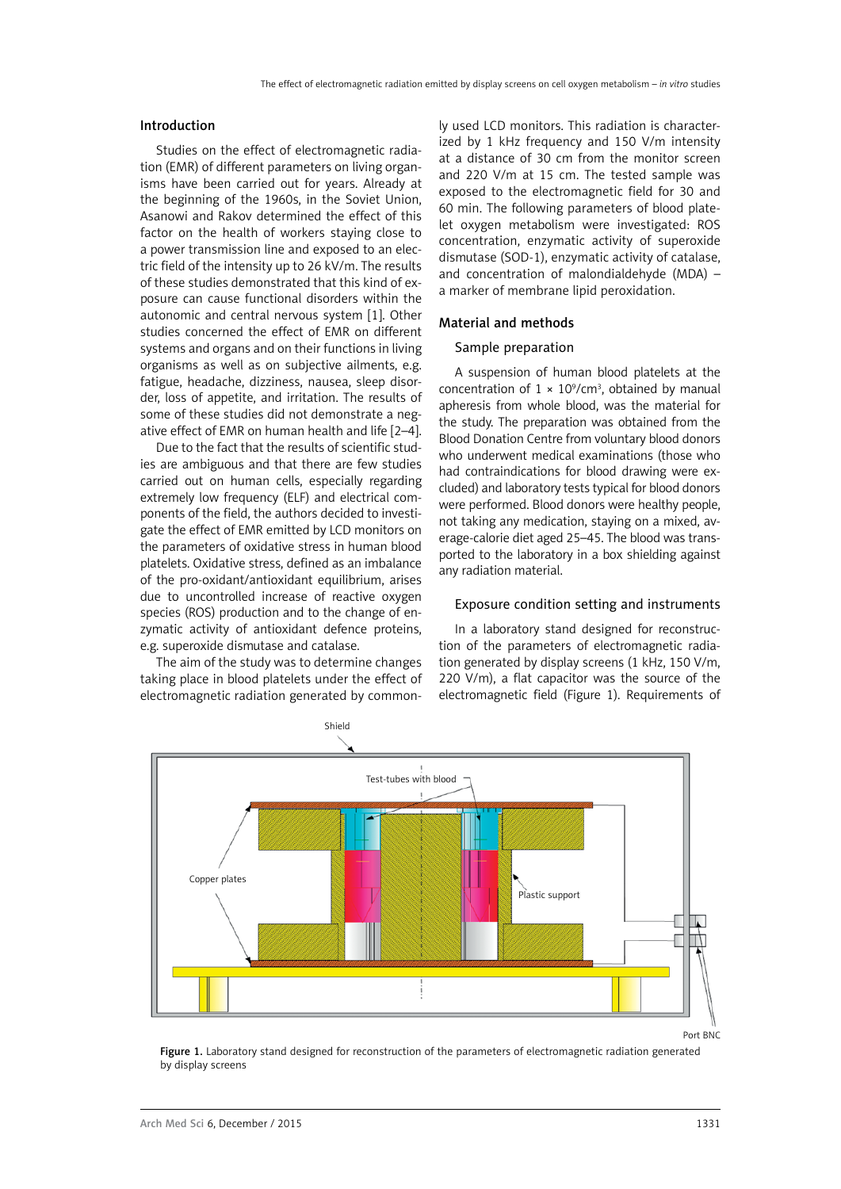## Introduction

Studies on the effect of electromagnetic radiation (EMR) of different parameters on living organisms have been carried out for years. Already at the beginning of the 1960s, in the Soviet Union, Asanowi and Rakov determined the effect of this factor on the health of workers staying close to a power transmission line and exposed to an electric field of the intensity up to 26 kV/m. The results of these studies demonstrated that this kind of exposure can cause functional disorders within the autonomic and central nervous system [1]. Other studies concerned the effect of EMR on different systems and organs and on their functions in living organisms as well as on subjective ailments, e.g. fatigue, headache, dizziness, nausea, sleep disorder, loss of appetite, and irritation. The results of some of these studies did not demonstrate a negative effect of EMR on human health and life [2–4].

Due to the fact that the results of scientific studies are ambiguous and that there are few studies carried out on human cells, especially regarding extremely low frequency (ELF) and electrical components of the field, the authors decided to investigate the effect of EMR emitted by LCD monitors on the parameters of oxidative stress in human blood platelets. Oxidative stress, defined as an imbalance of the pro-oxidant/antioxidant equilibrium, arises due to uncontrolled increase of reactive oxygen species (ROS) production and to the change of enzymatic activity of antioxidant defence proteins, e.g. superoxide dismutase and catalase.

The aim of the study was to determine changes taking place in blood platelets under the effect of electromagnetic radiation generated by common-

ly used LCD monitors. This radiation is characterized by 1 kHz frequency and 150 V/m intensity at a distance of 30 cm from the monitor screen and 220 V/m at 15 cm. The tested sample was exposed to the electromagnetic field for 30 and 60 min. The following parameters of blood platelet oxygen metabolism were investigated: ROS concentration, enzymatic activity of superoxide dismutase (SOD-1), enzymatic activity of catalase, and concentration of malondialdehyde (MDA) – a marker of membrane lipid peroxidation.

# Material and methods

## Sample preparation

A suspension of human blood platelets at the concentration of  $1 \times 10^9$ /cm<sup>3</sup>, obtained by manual apheresis from whole blood, was the material for the study. The preparation was obtained from the Blood Donation Centre from voluntary blood donors who underwent medical examinations (those who had contraindications for blood drawing were excluded) and laboratory tests typical for blood donors were performed. Blood donors were healthy people, not taking any medication, staying on a mixed, average-calorie diet aged 25–45. The blood was transported to the laboratory in a box shielding against any radiation material.

## Exposure condition setting and instruments

In a laboratory stand designed for reconstruction of the parameters of electromagnetic radiation generated by display screens (1 kHz, 150 V/m, 220 V/m), a flat capacitor was the source of the electromagnetic field (Figure 1). Requirements of



Figure 1. Laboratory stand designed for reconstruction of the parameters of electromagnetic radiation generated by display screens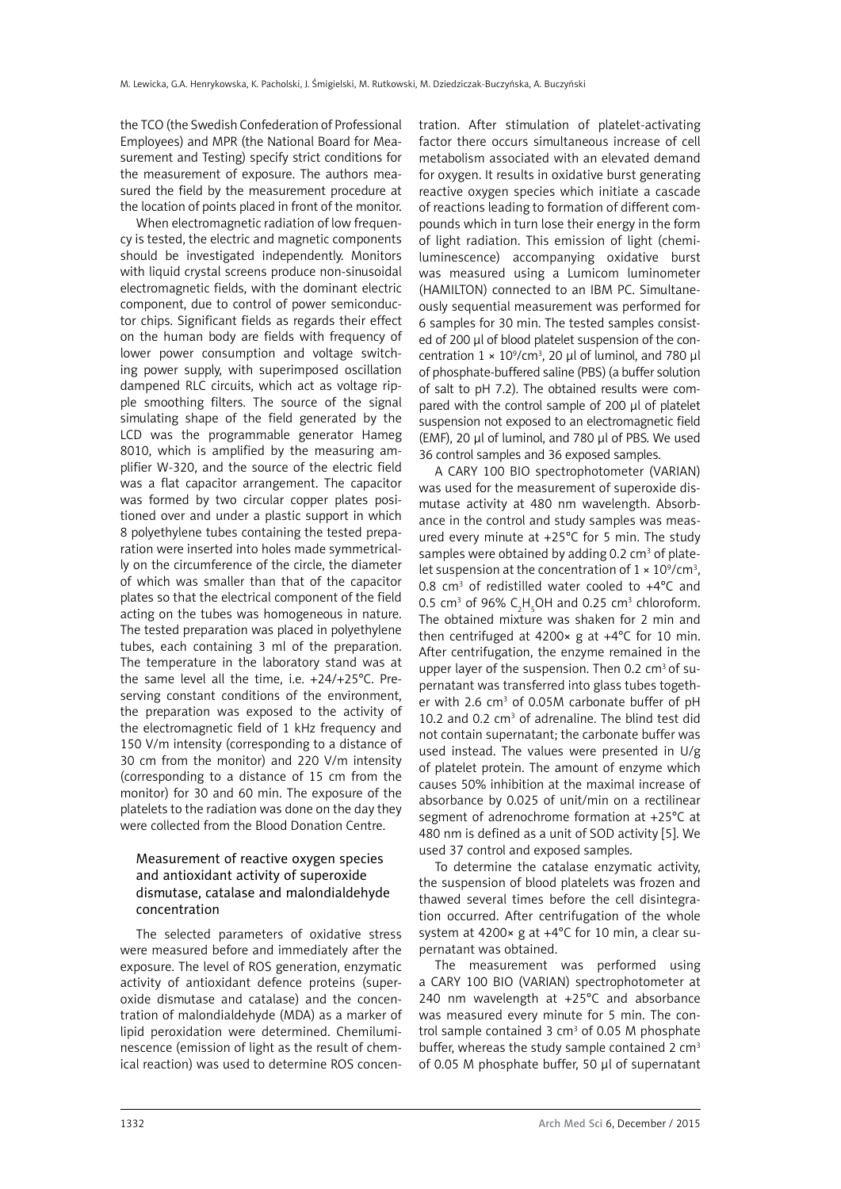the TCO (the Swedish Confederation of Professional Employees) and MPR (the National Board for Measurement and Testing) specify strict conditions for the measurement of exposure. The authors measured the field by the measurement procedure at the location of points placed in front of the monitor.

When electromagnetic radiation of low frequency is tested, the electric and magnetic components should be investigated independently. Monitors with liquid crystal screens produce non-sinusoidal electromagnetic fields, with the dominant electric component, due to control of power semiconductor chips. Significant fields as regards their effect on the human body are fields with frequency of lower power consumption and voltage switching power supply, with superimposed oscillation dampened RLC circuits, which act as voltage ripple smoothing filters. The source of the signal simulating shape of the field generated by the LCD was the programmable generator Hameg 8010, which is amplified by the measuring amplifier W-320, and the source of the electric field was a flat capacitor arrangement. The capacitor was formed by two circular copper plates positioned over and under a plastic support in which 8 polyethylene tubes containing the tested preparation were inserted into holes made symmetrically on the circumference of the circle, the diameter of which was smaller than that of the capacitor plates so that the electrical component of the field acting on the tubes was homogeneous in nature. The tested preparation was placed in polyethylene tubes, each containing 3 ml of the preparation. The temperature in the laboratory stand was at the same level all the time, i.e. +24/+25°C. Preserving constant conditions of the environment, the preparation was exposed to the activity of the electromagnetic field of 1 kHz frequency and 150 V/m intensity (corresponding to a distance of 30 cm from the monitor) and 220 V/m intensity (corresponding to a distance of 15 cm from the monitor) for 30 and 60 min. The exposure of the platelets to the radiation was done on the day they were collected from the Blood Donation Centre.

# Measurement of reactive oxygen species and antioxidant activity of superoxide dismutase, catalase and malondialdehyde concentration

The selected parameters of oxidative stress were measured before and immediately after the exposure. The level of ROS generation, enzymatic activity of antioxidant defence proteins (superoxide dismutase and catalase) and the concentration of malondialdehyde (MDA) as a marker of lipid peroxidation were determined. Chemiluminescence (emission of light as the result of chemical reaction) was used to determine ROS concentration. After stimulation of platelet-activating factor there occurs simultaneous increase of cell metabolism associated with an elevated demand for oxygen. It results in oxidative burst generating reactive oxygen species which initiate a cascade of reactions leading to formation of different compounds which in turn lose their energy in the form of light radiation. This emission of light (chemiluminescence) accompanying oxidative burst was measured using a Lumicom luminometer (HAMILTON) connected to an IBM PC. Simultaneously sequential measurement was performed for 6 samples for 30 min. The tested samples consisted of 200 μl of blood platelet suspension of the concentration  $1 \times 10^9$ /cm<sup>3</sup>, 20 µl of luminol, and 780 µl of phosphate-buffered saline (PBS) (a buffer solution of salt to pH 7.2). The obtained results were compared with the control sample of 200 μl of platelet suspension not exposed to an electromagnetic field (EMF), 20 μl of luminol, and 780 μl of PBS. We used 36 control samples and 36 exposed samples.

A CARY 100 BIO spectrophotometer (VARIAN) was used for the measurement of superoxide dismutase activity at 480 nm wavelength. Absorbance in the control and study samples was measured every minute at +25°C for 5 min. The study samples were obtained by adding 0.2  $cm<sup>3</sup>$  of platelet suspension at the concentration of  $1 \times 10^9$ /cm<sup>3</sup>, 0.8  $cm<sup>3</sup>$  of redistilled water cooled to  $+4^{\circ}$ C and 0.5 cm<sup>3</sup> of 96%  $C_2H_5OH$  and 0.25 cm<sup>3</sup> chloroform. The obtained mixture was shaken for 2 min and then centrifuged at  $4200 \times g$  at  $+4^{\circ}$ C for 10 min. After centrifugation, the enzyme remained in the upper layer of the suspension. Then 0.2 cm<sup>3</sup> of supernatant was transferred into glass tubes together with 2.6  $cm<sup>3</sup>$  of 0.05M carbonate buffer of pH 10.2 and 0.2 cm<sup>3</sup> of adrenaline. The blind test did not contain supernatant; the carbonate buffer was used instead. The values were presented in U/g of platelet protein. The amount of enzyme which causes 50% inhibition at the maximal increase of absorbance by 0.025 of unit/min on a rectilinear segment of adrenochrome formation at +25°C at 480 nm is defined as a unit of SOD activity [5]. We used 37 control and exposed samples.

To determine the catalase enzymatic activity, the suspension of blood platelets was frozen and thawed several times before the cell disintegration occurred. After centrifugation of the whole system at 4200× g at +4°C for 10 min, a clear supernatant was obtained.

The measurement was performed using a CARY 100 BIO (VARIAN) spectrophotometer at 240 nm wavelength at +25°C and absorbance was measured every minute for 5 min. The control sample contained  $3 \text{ cm}^3$  of 0.05 M phosphate buffer, whereas the study sample contained 2  $cm<sup>3</sup>$ of 0.05 M phosphate buffer, 50 μl of supernatant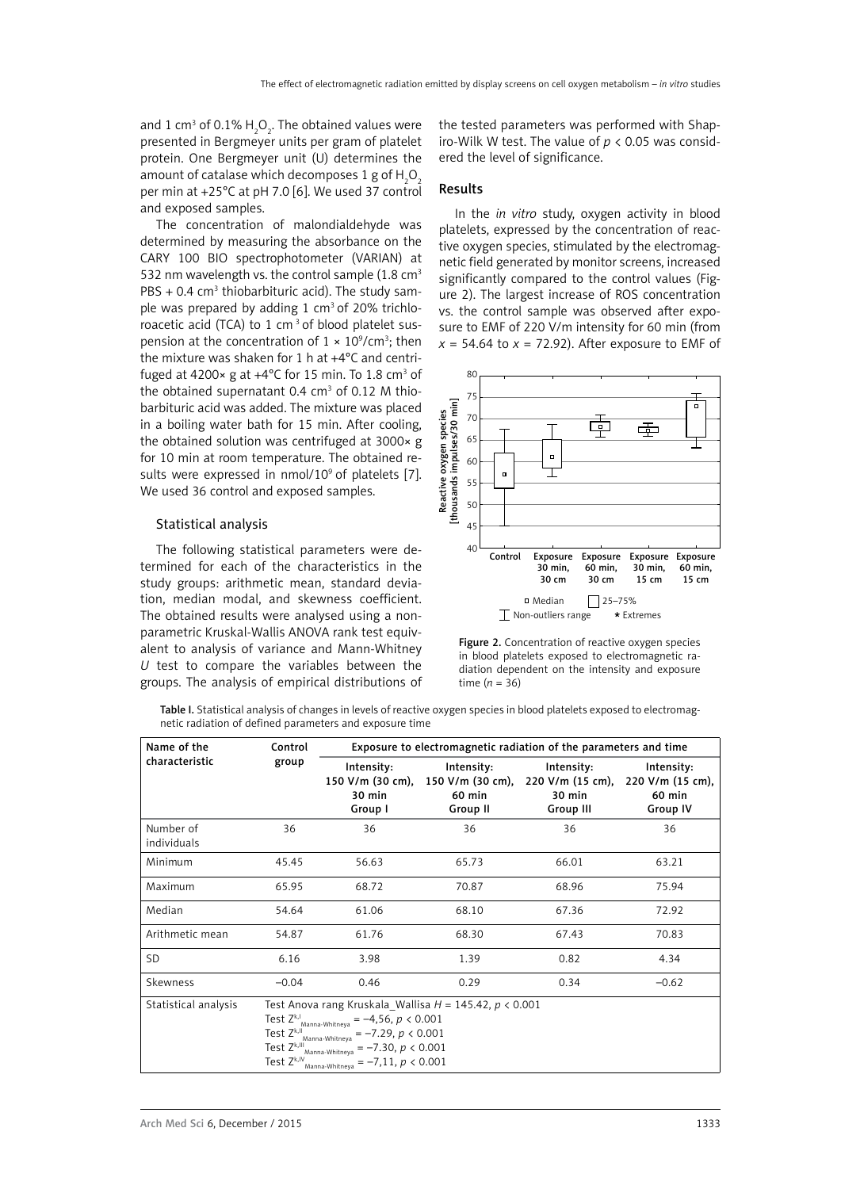and 1 cm $^3$  of 0.1%  $\text{H}_{\text{2}}\text{O}_{\text{2}}$ . The obtained values were presented in Bergmeyer units per gram of platelet protein. One Bergmeyer unit (U) determines the amount of catalase which decomposes 1 g of  $\mathsf{H}_2\mathsf{O}_2$ per min at +25°C at pH 7.0 [6]. We used 37 control and exposed samples.

The concentration of malondialdehyde was determined by measuring the absorbance on the CARY 100 BIO spectrophotometer (VARIAN) at 532 nm wavelength vs. the control sample  $(1.8 \text{ cm}^3)$  $PBS + 0.4$  cm<sup>3</sup> thiobarbituric acid). The study sample was prepared by adding 1  $cm<sup>3</sup>$  of 20% trichloroacetic acid (TCA) to 1 cm<sup>3</sup> of blood platelet suspension at the concentration of  $1 \times 10^9$ /cm<sup>3</sup>; then the mixture was shaken for 1 h at +4°C and centrifuged at 4200 $\times$  g at +4 $\degree$ C for 15 min. To 1.8 cm<sup>3</sup> of the obtained supernatant 0.4  $cm<sup>3</sup>$  of 0.12 M thiobarbituric acid was added. The mixture was placed in a boiling water bath for 15 min. After cooling, the obtained solution was centrifuged at 3000× g for 10 min at room temperature. The obtained results were expressed in nmol/10<sup>9</sup> of platelets [7]. We used 36 control and exposed samples.

## Statistical analysis

The following statistical parameters were determined for each of the characteristics in the study groups: arithmetic mean, standard deviation, median modal, and skewness coefficient. The obtained results were analysed using a nonparametric Kruskal-Wallis ANOVA rank test equivalent to analysis of variance and Mann-Whitney *U* test to compare the variables between the groups. The analysis of empirical distributions of the tested parameters was performed with Shapiro-Wilk W test. The value of *p* < 0.05 was considered the level of significance.

### Results

In the *in vitro* study, oxygen activity in blood platelets, expressed by the concentration of reactive oxygen species, stimulated by the electromagnetic field generated by monitor screens, increased significantly compared to the control values (Figure 2). The largest increase of ROS concentration vs. the control sample was observed after exposure to EMF of 220 V/m intensity for 60 min (from  $x = 54.64$  to  $x = 72.92$ ). After exposure to EMF of



Figure 2. Concentration of reactive oxygen species in blood platelets exposed to electromagnetic radiation dependent on the intensity and exposure time  $(n = 36)$ 

Table I. Statistical analysis of changes in levels of reactive oxygen species in blood platelets exposed to electromagnetic radiation of defined parameters and exposure time

| Name of the              | Control<br>group                                                                                                                                                                                                                                                                                                                  | Exposure to electromagnetic radiation of the parameters and time |                                                      |                                                       |                                                             |
|--------------------------|-----------------------------------------------------------------------------------------------------------------------------------------------------------------------------------------------------------------------------------------------------------------------------------------------------------------------------------|------------------------------------------------------------------|------------------------------------------------------|-------------------------------------------------------|-------------------------------------------------------------|
| characteristic           |                                                                                                                                                                                                                                                                                                                                   | Intensity:<br>150 V/m (30 cm),<br>30 min<br>Group I              | Intensity:<br>150 V/m (30 cm),<br>60 min<br>Group II | Intensity:<br>220 V/m (15 cm),<br>30 min<br>Group III | Intensity:<br>220 V/m (15 cm),<br>60 min<br><b>Group IV</b> |
| Number of<br>individuals | 36                                                                                                                                                                                                                                                                                                                                | 36                                                               | 36                                                   | 36                                                    | 36                                                          |
| Minimum                  | 45.45                                                                                                                                                                                                                                                                                                                             | 56.63                                                            | 65.73                                                | 66.01                                                 | 63.21                                                       |
| Maximum                  | 65.95                                                                                                                                                                                                                                                                                                                             | 68.72                                                            | 70.87                                                | 68.96                                                 | 75.94                                                       |
| Median                   | 54.64                                                                                                                                                                                                                                                                                                                             | 61.06                                                            | 68.10                                                | 67.36                                                 | 72.92                                                       |
| Arithmetic mean          | 54.87                                                                                                                                                                                                                                                                                                                             | 61.76                                                            | 68.30                                                | 67.43                                                 | 70.83                                                       |
| <b>SD</b>                | 6.16                                                                                                                                                                                                                                                                                                                              | 3.98                                                             | 1.39                                                 | 0.82                                                  | 4.34                                                        |
| Skewness                 | $-0.04$                                                                                                                                                                                                                                                                                                                           | 0.46                                                             | 0.29                                                 | 0.34                                                  | $-0.62$                                                     |
| Statistical analysis     | Test Anova rang Kruskala Wallisa $H = 145.42$ , $p < 0.001$<br>Test $Z^{k,l}$<br>$=-4,56, p < 0.001$<br>.<br>Manna-Whitneya<br>Test Zk, II<br>$=-7.29, p < 0.001$<br>.<br>Manna-Whitneva<br>Test Z <sup>k,III</sup> .<br>$=-7.30, p < 0.001$<br>Manna-Whitneya<br>$=-7,11, p < 0.001$<br>Test Z <sup>k,IV</sup><br>Manna-Whitneya |                                                                  |                                                      |                                                       |                                                             |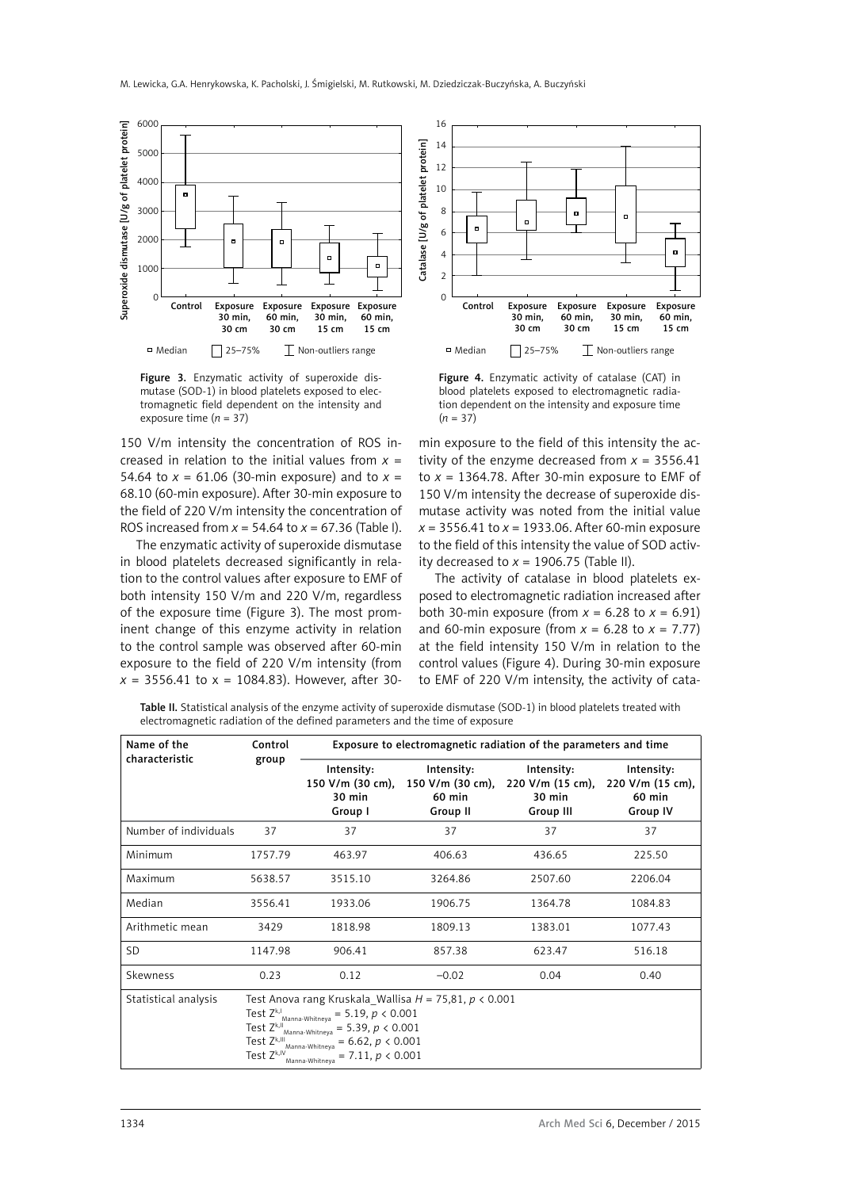

Figure 3. Enzymatic activity of superoxide dismutase (SOD-1) in blood platelets exposed to electromagnetic field dependent on the intensity and exposure time  $(n = 37)$ 

150 V/m intensity the concentration of ROS increased in relation to the initial values from  $x =$ 54.64 to  $x = 61.06$  (30-min exposure) and to  $x =$ 68.10 (60-min exposure). After 30-min exposure to the field of 220 V/m intensity the concentration of ROS increased from *x* = 54.64 to *x* = 67.36 (Table I).

The enzymatic activity of superoxide dismutase in blood platelets decreased significantly in relation to the control values after exposure to EMF of both intensity 150 V/m and 220 V/m, regardless of the exposure time (Figure 3). The most prominent change of this enzyme activity in relation to the control sample was observed after 60-min exposure to the field of 220 V/m intensity (from  $x = 3556.41$  to  $x = 1084.83$ ). However, after 30-



Figure 4. Enzymatic activity of catalase (CAT) in blood platelets exposed to electromagnetic radiation dependent on the intensity and exposure time (*n* = 37)

min exposure to the field of this intensity the activity of the enzyme decreased from  $x = 3556.41$ to  $x = 1364.78$ . After 30-min exposure to EMF of 150 V/m intensity the decrease of superoxide dismutase activity was noted from the initial value *x* = 3556.41 to *x* = 1933.06. After 60-min exposure to the field of this intensity the value of SOD activity decreased to  $x = 1906.75$  (Table II).

The activity of catalase in blood platelets exposed to electromagnetic radiation increased after both 30-min exposure (from  $x = 6.28$  to  $x = 6.91$ ) and 60-min exposure (from  $x = 6.28$  to  $x = 7.77$ ) at the field intensity 150 V/m in relation to the control values (Figure 4). During 30-min exposure to EMF of 220 V/m intensity, the activity of cata-

Table II. Statistical analysis of the enzyme activity of superoxide dismutase (SOD-1) in blood platelets treated with electromagnetic radiation of the defined parameters and the time of exposure

| Name of the<br>characteristic | Control<br>group                                                                                                                                                                                                                                                                                                                                | Exposure to electromagnetic radiation of the parameters and time |                                                      |                                                       |                                                      |  |
|-------------------------------|-------------------------------------------------------------------------------------------------------------------------------------------------------------------------------------------------------------------------------------------------------------------------------------------------------------------------------------------------|------------------------------------------------------------------|------------------------------------------------------|-------------------------------------------------------|------------------------------------------------------|--|
|                               |                                                                                                                                                                                                                                                                                                                                                 | Intensity:<br>150 V/m (30 cm),<br>30 min<br>Group I              | Intensity:<br>150 V/m (30 cm),<br>60 min<br>Group II | Intensity:<br>220 V/m (15 cm),<br>30 min<br>Group III | Intensity:<br>220 V/m (15 cm),<br>60 min<br>Group IV |  |
| Number of individuals         | 37                                                                                                                                                                                                                                                                                                                                              | 37                                                               | 37                                                   | 37                                                    | 37                                                   |  |
| Minimum                       | 1757.79                                                                                                                                                                                                                                                                                                                                         | 463.97                                                           | 406.63                                               | 436.65                                                | 225.50                                               |  |
| Maximum                       | 5638.57                                                                                                                                                                                                                                                                                                                                         | 3515.10                                                          | 3264.86                                              | 2507.60                                               | 2206.04                                              |  |
| Median                        | 3556.41                                                                                                                                                                                                                                                                                                                                         | 1933.06                                                          | 1906.75                                              | 1364.78                                               | 1084.83                                              |  |
| Arithmetic mean               | 3429                                                                                                                                                                                                                                                                                                                                            | 1818.98                                                          | 1809.13                                              | 1383.01                                               | 1077.43                                              |  |
| <b>SD</b>                     | 1147.98                                                                                                                                                                                                                                                                                                                                         | 906.41                                                           | 857.38                                               | 623.47                                                | 516.18                                               |  |
| Skewness                      | 0.23                                                                                                                                                                                                                                                                                                                                            | 0.12                                                             | $-0.02$                                              | 0.04                                                  | 0.40                                                 |  |
| Statistical analysis          | Test Anova rang Kruskala_Wallisa $H = 75,81, p < 0.001$<br>$\textsf{Test}\ \mathsf{Z}^{\mathsf{k},\mathsf{l}}$ Manna-Whitneya<br>$= 5.19, p < 0.001$<br>Test $Z^{k,II}$<br>$= 5.39, p < 0.001$<br><br>Manna-Whitneva<br>Test Zk,III<br>$= 6.62, p < 0.001$<br>Manna-Whitneya<br>Test Z <sup>k,IV</sup><br>$= 7.11, p < 0.001$<br>Manna-Whitneva |                                                                  |                                                      |                                                       |                                                      |  |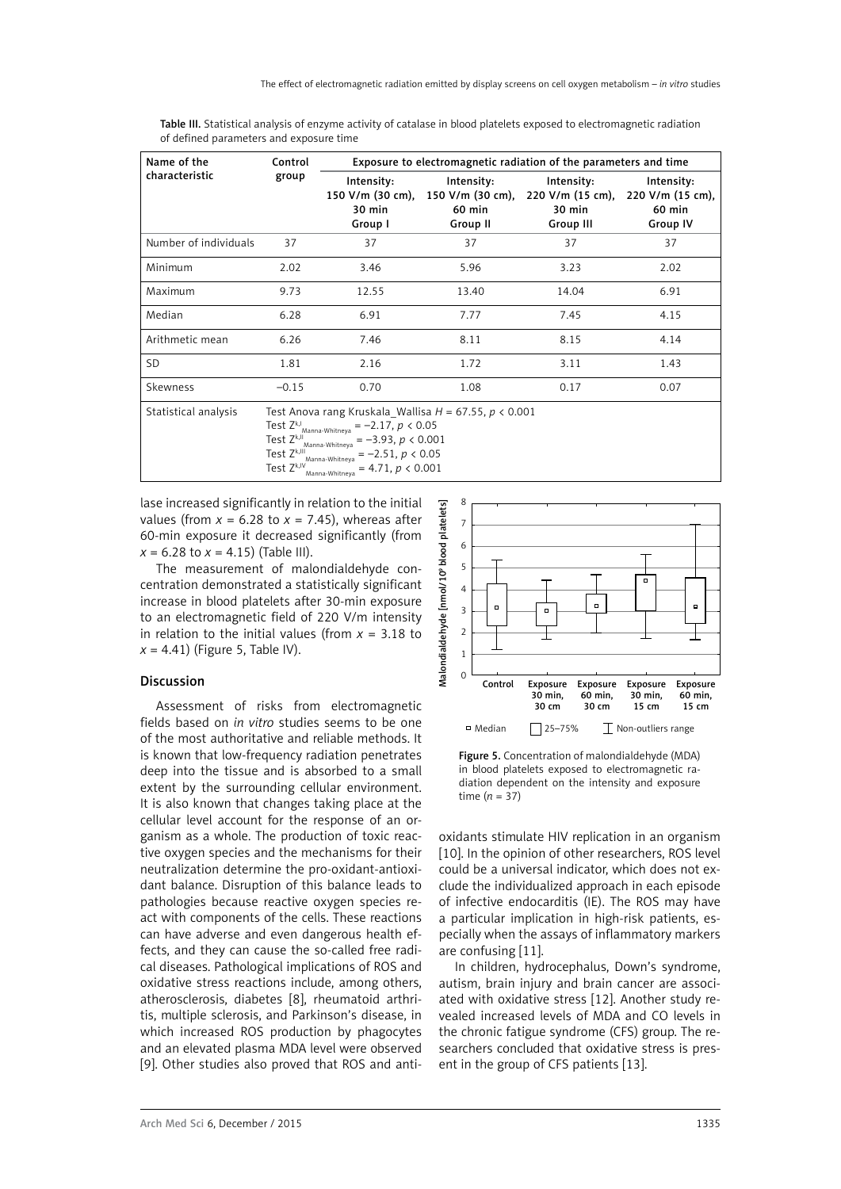| Name of the<br>characteristic | Control<br>group                                           | Exposure to electromagnetic radiation of the parameters and time |                                                      |                                                       |                                                             |
|-------------------------------|------------------------------------------------------------|------------------------------------------------------------------|------------------------------------------------------|-------------------------------------------------------|-------------------------------------------------------------|
|                               |                                                            | Intensity:<br>150 V/m (30 cm),<br>30 min<br>Group I              | Intensity:<br>150 V/m (30 cm),<br>60 min<br>Group II | Intensity:<br>220 V/m (15 cm),<br>30 min<br>Group III | Intensity:<br>220 V/m (15 cm),<br>60 min<br><b>Group IV</b> |
| Number of individuals         | 37                                                         | 37                                                               | 37                                                   | 37                                                    | 37                                                          |
| Minimum                       | 2.02                                                       | 3.46                                                             | 5.96                                                 | 3.23                                                  | 2.02                                                        |
| Maximum                       | 9.73                                                       | 12.55                                                            | 13.40                                                | 14.04                                                 | 6.91                                                        |
| Median                        | 6.28                                                       | 6.91                                                             | 7.77                                                 | 7.45                                                  | 4.15                                                        |
| Arithmetic mean               | 6.26                                                       | 7.46                                                             | 8.11                                                 | 8.15                                                  | 4.14                                                        |
| <b>SD</b>                     | 1.81                                                       | 2.16                                                             | 1.72                                                 | 3.11                                                  | 1.43                                                        |
| Skewness                      | $-0.15$                                                    | 0.70                                                             | 1.08                                                 | 0.17                                                  | 0.07                                                        |
| Statistical analysis          | Test Anova rang Kruskala Wallisa $H = 67.55$ , $p < 0.001$ |                                                                  |                                                      |                                                       |                                                             |

Table III. Statistical analysis of enzyme activity of catalase in blood platelets exposed to electromagnetic radiation of defined parameters and exposure time

Statistical analysis Test Anova rang Kruskala\_Wallisa *H* = 67.55, *p* < 0.001

Test  $Z^{k,l}$ <sub>Manna-Whitneya</sub> = -2.17,  $p < 0.05$ 

Test  $Z^{k,II}$ <sub>Manna-Whitneya</sub> = -3.93,  $p < 0.001$ 

Test  $Z^{k,III}$ <sub>Manna-Whitneya</sub> = -2.51,  $p < 0.05$ 

```
Test Z^{k,N}<sub>Manna-Whitneya</sub> = 4.71, p < 0.001
```
lase increased significantly in relation to the initial values (from  $x = 6.28$  to  $x = 7.45$ ), whereas after 60-min exposure it decreased significantly (from  $x = 6.28$  to  $x = 4.15$ ) (Table III).

The measurement of malondialdehyde concentration demonstrated a statistically significant increase in blood platelets after 30-min exposure to an electromagnetic field of 220 V/m intensity in relation to the initial values (from *x* = 3.18 to  $x = 4.41$ ) (Figure 5, Table IV).

## Discussion

Assessment of risks from electromagnetic fields based on *in vitro* studies seems to be one of the most authoritative and reliable methods. It is known that low-frequency radiation penetrates deep into the tissue and is absorbed to a small extent by the surrounding cellular environment. It is also known that changes taking place at the cellular level account for the response of an organism as a whole. The production of toxic reactive oxygen species and the mechanisms for their neutralization determine the pro-oxidant-antioxidant balance. Disruption of this balance leads to pathologies because reactive oxygen species react with components of the cells. These reactions can have adverse and even dangerous health effects, and they can cause the so-called free radical diseases. Pathological implications of ROS and oxidative stress reactions include, among others, atherosclerosis, diabetes [8], rheumatoid arthritis, multiple sclerosis, and Parkinson's disease, in which increased ROS production by phagocytes and an elevated plasma MDA level were observed [9]. Other studies also proved that ROS and anti-



Figure 5. Concentration of malondialdehyde (MDA) in blood platelets exposed to electromagnetic radiation dependent on the intensity and exposure time (*n* = 37)

oxidants stimulate HIV replication in an organism [10]. In the opinion of other researchers, ROS level could be a universal indicator, which does not exclude the individualized approach in each episode of infective endocarditis (IE). The ROS may have a particular implication in high-risk patients, especially when the assays of inflammatory markers are confusing [11].

In children, hydrocephalus, Down's syndrome, autism, brain injury and brain cancer are associated with oxidative stress [12]. Another study revealed increased levels of MDA and CO levels in the chronic fatigue syndrome (CFS) group. The researchers concluded that oxidative stress is present in the group of CFS patients [13].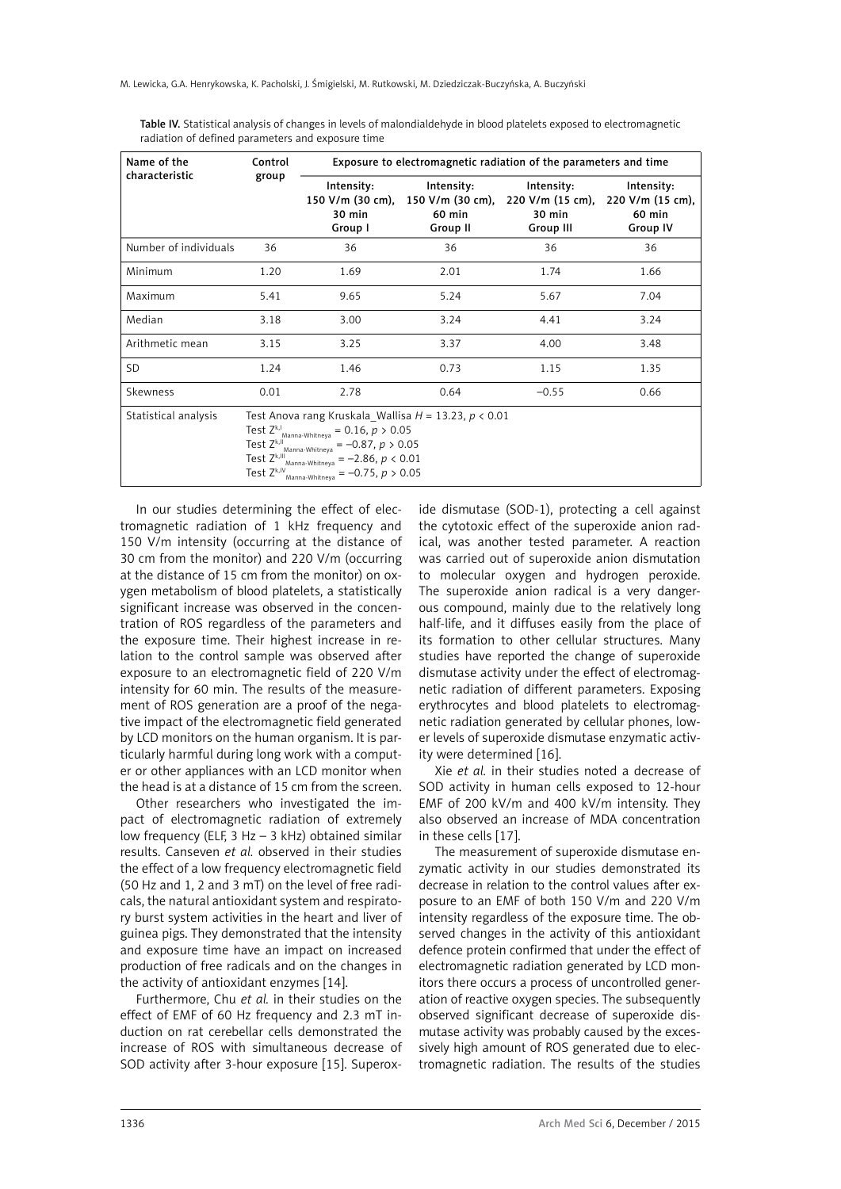| Name of the           | Control                                                                                                                                                                                                                                                                                                                                          | Exposure to electromagnetic radiation of the parameters and time |                                                      |                                                       |                                                      |
|-----------------------|--------------------------------------------------------------------------------------------------------------------------------------------------------------------------------------------------------------------------------------------------------------------------------------------------------------------------------------------------|------------------------------------------------------------------|------------------------------------------------------|-------------------------------------------------------|------------------------------------------------------|
| characteristic        | group                                                                                                                                                                                                                                                                                                                                            | Intensity:<br>150 V/m (30 cm),<br>30 min<br>Group I              | Intensity:<br>150 V/m (30 cm),<br>60 min<br>Group II | Intensity:<br>220 V/m (15 cm),<br>30 min<br>Group III | Intensity:<br>220 V/m (15 cm),<br>60 min<br>Group IV |
| Number of individuals | 36                                                                                                                                                                                                                                                                                                                                               | 36                                                               | 36                                                   | 36                                                    | 36                                                   |
| Minimum               | 1.20                                                                                                                                                                                                                                                                                                                                             | 1.69                                                             | 2.01                                                 | 1.74                                                  | 1.66                                                 |
| Maximum               | 5.41                                                                                                                                                                                                                                                                                                                                             | 9.65                                                             | 5.24                                                 | 5.67                                                  | 7.04                                                 |
| Median                | 3.18                                                                                                                                                                                                                                                                                                                                             | 3.00                                                             | 3.24                                                 | 4.41                                                  | 3.24                                                 |
| Arithmetic mean       | 3.15                                                                                                                                                                                                                                                                                                                                             | 3.25                                                             | 3.37                                                 | 4.00                                                  | 3.48                                                 |
| <b>SD</b>             | 1.24                                                                                                                                                                                                                                                                                                                                             | 1.46                                                             | 0.73                                                 | 1.15                                                  | 1.35                                                 |
| Skewness              | 0.01                                                                                                                                                                                                                                                                                                                                             | 2.78                                                             | 0.64                                                 | $-0.55$                                               | 0.66                                                 |
| Statistical analysis  | Test Anova rang Kruskala Wallisa $H = 13.23$ , $p < 0.01$<br>$\textsf{Test}\ \mathsf{Z}^{\mathsf{k},\mathsf{l}}$ Manna-Whitneya<br>$= 0.16, p > 0.05$<br>$=-0.87, p > 0.05$<br>Test Zk,II<br>.<br>Manna-Whitneya<br>$=-2.86, p < 0.01$<br>Test Z <sup>k,III</sup> .<br>.<br>Manna-Whitneya<br>$=-0.75, p > 0.05$<br>Test Zk,IV<br>Manna-Whitneva |                                                                  |                                                      |                                                       |                                                      |

Table IV. Statistical analysis of changes in levels of malondialdehyde in blood platelets exposed to electromagnetic radiation of defined parameters and exposure time

In our studies determining the effect of electromagnetic radiation of 1 kHz frequency and 150 V/m intensity (occurring at the distance of 30 cm from the monitor) and 220 V/m (occurring at the distance of 15 cm from the monitor) on oxygen metabolism of blood platelets, a statistically significant increase was observed in the concentration of ROS regardless of the parameters and the exposure time. Their highest increase in relation to the control sample was observed after exposure to an electromagnetic field of 220 V/m intensity for 60 min. The results of the measurement of ROS generation are a proof of the negative impact of the electromagnetic field generated by LCD monitors on the human organism. It is particularly harmful during long work with a computer or other appliances with an LCD monitor when the head is at a distance of 15 cm from the screen.

Other researchers who investigated the impact of electromagnetic radiation of extremely low frequency (ELF, 3 Hz – 3 kHz) obtained similar results. Canseven *et al.* observed in their studies the effect of a low frequency electromagnetic field (50 Hz and 1, 2 and 3 mT) on the level of free radicals, the natural antioxidant system and respiratory burst system activities in the heart and liver of guinea pigs. They demonstrated that the intensity and exposure time have an impact on increased production of free radicals and on the changes in the activity of antioxidant enzymes [14].

Furthermore, Chu *et al.* in their studies on the effect of EMF of 60 Hz frequency and 2.3 mT induction on rat cerebellar cells demonstrated the increase of ROS with simultaneous decrease of SOD activity after 3-hour exposure [15]. Superoxide dismutase (SOD-1), protecting a cell against the cytotoxic effect of the superoxide anion radical, was another tested parameter. A reaction was carried out of superoxide anion dismutation to molecular oxygen and hydrogen peroxide. The superoxide anion radical is a very dangerous compound, mainly due to the relatively long half-life, and it diffuses easily from the place of its formation to other cellular structures. Many studies have reported the change of superoxide dismutase activity under the effect of electromagnetic radiation of different parameters. Exposing erythrocytes and blood platelets to electromagnetic radiation generated by cellular phones, lower levels of superoxide dismutase enzymatic activity were determined [16].

Xie *et al.* in their studies noted a decrease of SOD activity in human cells exposed to 12-hour EMF of 200 kV/m and 400 kV/m intensity. They also observed an increase of MDA concentration in these cells [17].

The measurement of superoxide dismutase enzymatic activity in our studies demonstrated its decrease in relation to the control values after exposure to an EMF of both 150 V/m and 220 V/m intensity regardless of the exposure time. The observed changes in the activity of this antioxidant defence protein confirmed that under the effect of electromagnetic radiation generated by LCD monitors there occurs a process of uncontrolled generation of reactive oxygen species. The subsequently observed significant decrease of superoxide dismutase activity was probably caused by the excessively high amount of ROS generated due to electromagnetic radiation. The results of the studies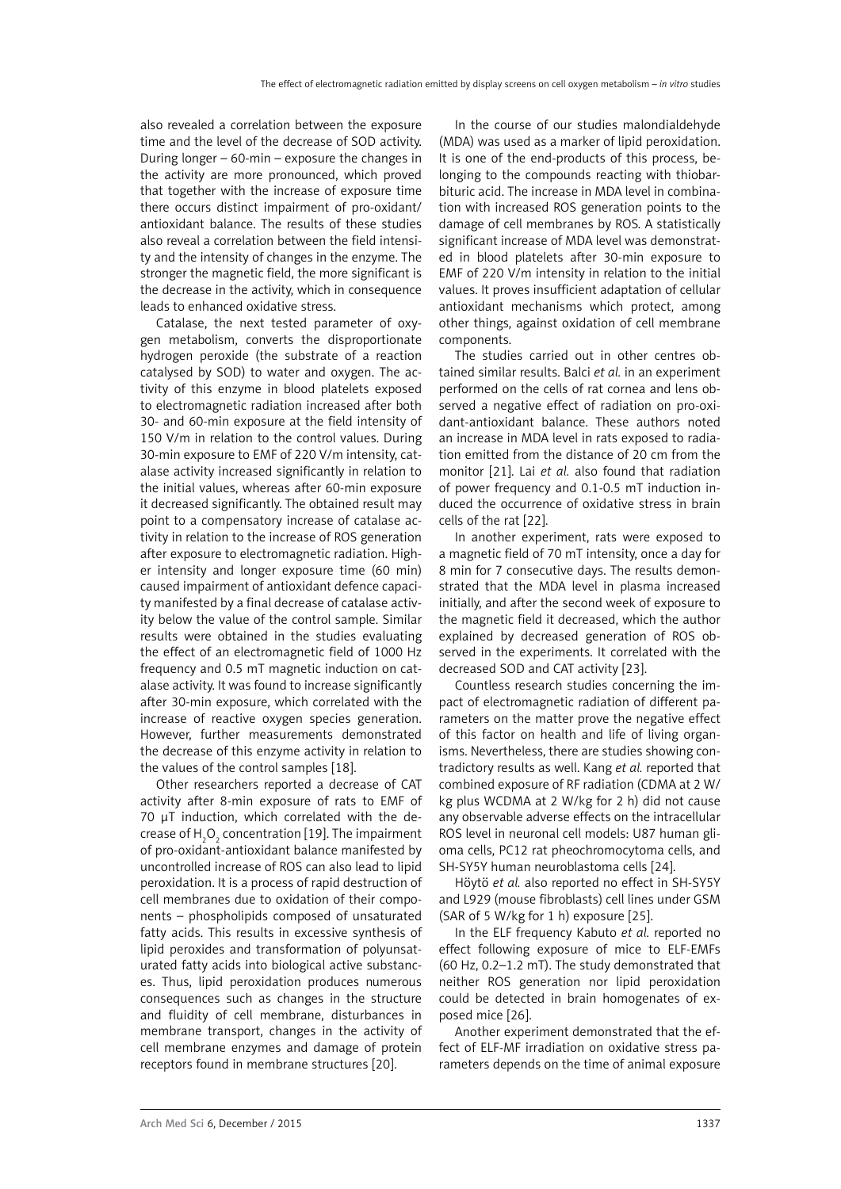also revealed a correlation between the exposure time and the level of the decrease of SOD activity. During longer – 60-min – exposure the changes in the activity are more pronounced, which proved that together with the increase of exposure time there occurs distinct impairment of pro-oxidant/ antioxidant balance. The results of these studies also reveal a correlation between the field intensity and the intensity of changes in the enzyme. The stronger the magnetic field, the more significant is the decrease in the activity, which in consequence leads to enhanced oxidative stress.

Catalase, the next tested parameter of oxygen metabolism, converts the disproportionate hydrogen peroxide (the substrate of a reaction catalysed by SOD) to water and oxygen. The activity of this enzyme in blood platelets exposed to electromagnetic radiation increased after both 30- and 60-min exposure at the field intensity of 150 V/m in relation to the control values. During 30-min exposure to EMF of 220 V/m intensity, catalase activity increased significantly in relation to the initial values, whereas after 60-min exposure it decreased significantly. The obtained result may point to a compensatory increase of catalase activity in relation to the increase of ROS generation after exposure to electromagnetic radiation. Higher intensity and longer exposure time (60 min) caused impairment of antioxidant defence capacity manifested by a final decrease of catalase activity below the value of the control sample. Similar results were obtained in the studies evaluating the effect of an electromagnetic field of 1000 Hz frequency and 0.5 mT magnetic induction on catalase activity. It was found to increase significantly after 30-min exposure, which correlated with the increase of reactive oxygen species generation. However, further measurements demonstrated the decrease of this enzyme activity in relation to the values of the control samples [18].

Other researchers reported a decrease of CAT activity after 8-min exposure of rats to EMF of 70 μT induction, which correlated with the decrease of  $\mathsf{H}_\mathsf{2}\mathsf{O}_\mathsf{2}$  concentration [19]. The impairment of pro-oxidant-antioxidant balance manifested by uncontrolled increase of ROS can also lead to lipid peroxidation. It is a process of rapid destruction of cell membranes due to oxidation of their components – phospholipids composed of unsaturated fatty acids. This results in excessive synthesis of lipid peroxides and transformation of polyunsaturated fatty acids into biological active substances. Thus, lipid peroxidation produces numerous consequences such as changes in the structure and fluidity of cell membrane, disturbances in membrane transport, changes in the activity of cell membrane enzymes and damage of protein receptors found in membrane structures [20].

In the course of our studies malondialdehyde (MDA) was used as a marker of lipid peroxidation. It is one of the end-products of this process, belonging to the compounds reacting with thiobarbituric acid. The increase in MDA level in combination with increased ROS generation points to the damage of cell membranes by ROS. A statistically significant increase of MDA level was demonstrated in blood platelets after 30-min exposure to EMF of 220 V/m intensity in relation to the initial values. It proves insufficient adaptation of cellular antioxidant mechanisms which protect, among other things, against oxidation of cell membrane components.

The studies carried out in other centres obtained similar results. Balci *et al.* in an experiment performed on the cells of rat cornea and lens observed a negative effect of radiation on pro-oxidant-antioxidant balance. These authors noted an increase in MDA level in rats exposed to radiation emitted from the distance of 20 cm from the monitor [21]. Lai *et al.* also found that radiation of power frequency and 0.1-0.5 mT induction induced the occurrence of oxidative stress in brain cells of the rat [22].

In another experiment, rats were exposed to a magnetic field of 70 mT intensity, once a day for 8 min for 7 consecutive days. The results demonstrated that the MDA level in plasma increased initially, and after the second week of exposure to the magnetic field it decreased, which the author explained by decreased generation of ROS observed in the experiments. It correlated with the decreased SOD and CAT activity [23].

Countless research studies concerning the impact of electromagnetic radiation of different parameters on the matter prove the negative effect of this factor on health and life of living organisms. Nevertheless, there are studies showing contradictory results as well. Kang *et al.* reported that combined exposure of RF radiation (CDMA at 2 W/ kg plus WCDMA at 2 W/kg for 2 h) did not cause any observable adverse effects on the intracellular ROS level in neuronal cell models: U87 human glioma cells, PC12 rat pheochromocytoma cells, and SH-SY5Y human neuroblastoma cells [24].

Höytö *et al.* also reported no effect in SH-SY5Y and L929 (mouse fibroblasts) cell lines under GSM (SAR of 5 W/kg for 1 h) exposure [25].

In the ELF frequency Kabuto *et al.* reported no effect following exposure of mice to ELF-EMFs (60 Hz, 0.2–1.2 mT). The study demonstrated that neither ROS generation nor lipid peroxidation could be detected in brain homogenates of exposed mice [26].

Another experiment demonstrated that the effect of ELF-MF irradiation on oxidative stress parameters depends on the time of animal exposure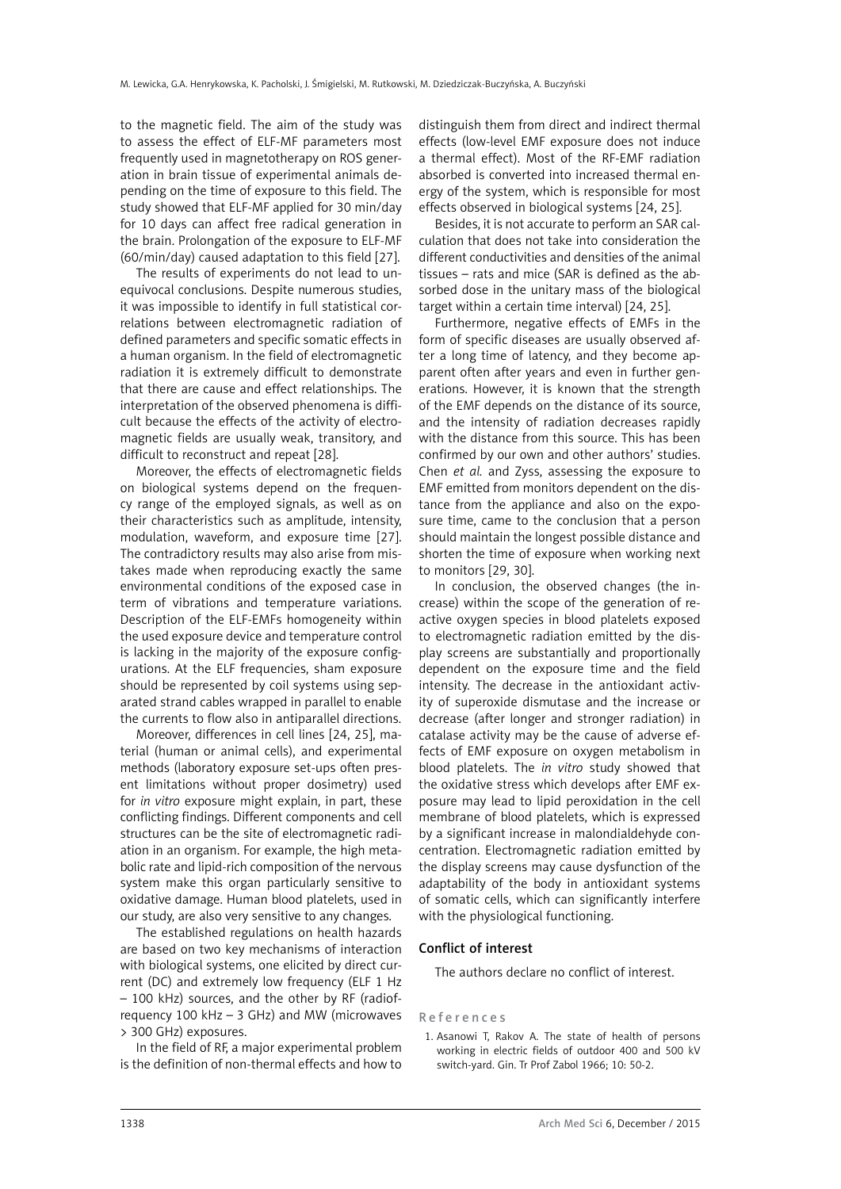to the magnetic field. The aim of the study was to assess the effect of ELF-MF parameters most frequently used in magnetotherapy on ROS generation in brain tissue of experimental animals depending on the time of exposure to this field. The study showed that ELF-MF applied for 30 min/day for 10 days can affect free radical generation in the brain. Prolongation of the exposure to ELF-MF (60/min/day) caused adaptation to this field [27].

The results of experiments do not lead to unequivocal conclusions. Despite numerous studies, it was impossible to identify in full statistical correlations between electromagnetic radiation of defined parameters and specific somatic effects in a human organism. In the field of electromagnetic radiation it is extremely difficult to demonstrate that there are cause and effect relationships. The interpretation of the observed phenomena is difficult because the effects of the activity of electromagnetic fields are usually weak, transitory, and difficult to reconstruct and repeat [28].

Moreover, the effects of electromagnetic fields on biological systems depend on the frequency range of the employed signals, as well as on their characteristics such as amplitude, intensity, modulation, waveform, and exposure time [27]. The contradictory results may also arise from mistakes made when reproducing exactly the same environmental conditions of the exposed case in term of vibrations and temperature variations. Description of the ELF-EMFs homogeneity within the used exposure device and temperature control is lacking in the majority of the exposure configurations. At the ELF frequencies, sham exposure should be represented by coil systems using separated strand cables wrapped in parallel to enable the currents to flow also in antiparallel directions.

Moreover, differences in cell lines [24, 25], material (human or animal cells), and experimental methods (laboratory exposure set-ups often present limitations without proper dosimetry) used for *in vitro* exposure might explain, in part, these conflicting findings. Different components and cell structures can be the site of electromagnetic radiation in an organism. For example, the high metabolic rate and lipid-rich composition of the nervous system make this organ particularly sensitive to oxidative damage. Human blood platelets, used in our study, are also very sensitive to any changes.

The established regulations on health hazards are based on two key mechanisms of interaction with biological systems, one elicited by direct current (DC) and extremely low frequency (ELF 1 Hz – 100 kHz) sources, and the other by RF (radiofrequency 100 kHz – 3 GHz) and MW (microwaves > 300 GHz) exposures.

In the field of RF, a major experimental problem is the definition of non-thermal effects and how to distinguish them from direct and indirect thermal effects (low-level EMF exposure does not induce a thermal effect). Most of the RF-EMF radiation absorbed is converted into increased thermal energy of the system, which is responsible for most effects observed in biological systems [24, 25].

Besides, it is not accurate to perform an SAR calculation that does not take into consideration the different conductivities and densities of the animal tissues – rats and mice (SAR is defined as the absorbed dose in the unitary mass of the biological target within a certain time interval) [24, 25].

Furthermore, negative effects of EMFs in the form of specific diseases are usually observed after a long time of latency, and they become apparent often after years and even in further generations. However, it is known that the strength of the EMF depends on the distance of its source, and the intensity of radiation decreases rapidly with the distance from this source. This has been confirmed by our own and other authors' studies. Chen *et al.* and Zyss, assessing the exposure to EMF emitted from monitors dependent on the distance from the appliance and also on the exposure time, came to the conclusion that a person should maintain the longest possible distance and shorten the time of exposure when working next to monitors [29, 30].

In conclusion, the observed changes (the increase) within the scope of the generation of reactive oxygen species in blood platelets exposed to electromagnetic radiation emitted by the display screens are substantially and proportionally dependent on the exposure time and the field intensity. The decrease in the antioxidant activity of superoxide dismutase and the increase or decrease (after longer and stronger radiation) in catalase activity may be the cause of adverse effects of EMF exposure on oxygen metabolism in blood platelets. The *in vitro* study showed that the oxidative stress which develops after EMF exposure may lead to lipid peroxidation in the cell membrane of blood platelets, which is expressed by a significant increase in malondialdehyde concentration. Electromagnetic radiation emitted by the display screens may cause dysfunction of the adaptability of the body in antioxidant systems of somatic cells, which can significantly interfere with the physiological functioning.

# Conflict of interest

The authors declare no conflict of interest.

### References

1. Asanowi T, Rakov A. The state of health of persons working in electric fields of outdoor 400 and 500 kV switch-yard. Gin. Tr Prof Zabol 1966; 10: 50-2.